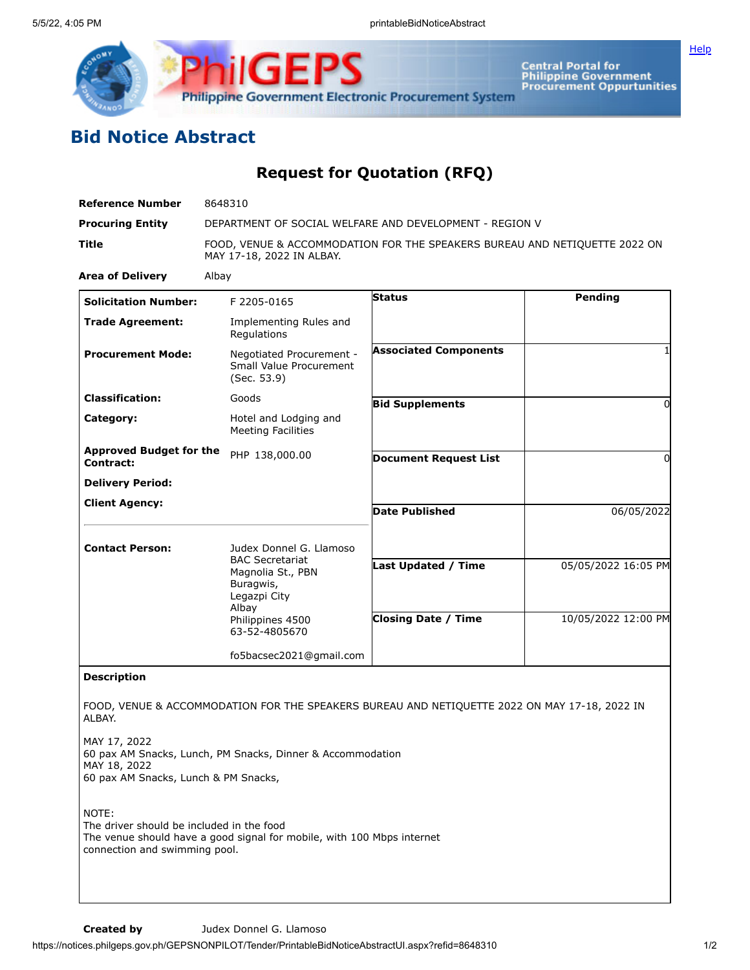

**ilGEPS Philippine Government Electronic Procurement System** 

Central Portal for<br>Philippine Government<br>Procurement Oppurtunities

## **Bid Notice Abstract**

## **Request for Quotation (RFQ)**

| <b>Reference Number</b>                                                             | 8648310                                                                                                                |                              |                     |
|-------------------------------------------------------------------------------------|------------------------------------------------------------------------------------------------------------------------|------------------------------|---------------------|
| <b>Procuring Entity</b>                                                             | DEPARTMENT OF SOCIAL WELFARE AND DEVELOPMENT - REGION V                                                                |                              |                     |
| Title                                                                               | FOOD, VENUE & ACCOMMODATION FOR THE SPEAKERS BUREAU AND NETIQUETTE 2022 ON<br>MAY 17-18, 2022 IN ALBAY.                |                              |                     |
| <b>Area of Delivery</b>                                                             | Albay                                                                                                                  |                              |                     |
| <b>Solicitation Number:</b>                                                         | F 2205-0165                                                                                                            | <b>Status</b>                | <b>Pending</b>      |
| <b>Trade Agreement:</b>                                                             | Implementing Rules and<br>Regulations                                                                                  |                              |                     |
| <b>Procurement Mode:</b>                                                            | Negotiated Procurement -<br>Small Value Procurement<br>(Sec. 53.9)                                                     | <b>Associated Components</b> | 1                   |
| <b>Classification:</b>                                                              | Goods                                                                                                                  | <b>Bid Supplements</b>       | $\Omega$            |
| Category:                                                                           | Hotel and Lodging and<br><b>Meeting Facilities</b>                                                                     |                              |                     |
| <b>Approved Budget for the</b><br>Contract:                                         | PHP 138,000.00                                                                                                         | <b>Document Request List</b> | $\Omega$            |
| <b>Delivery Period:</b>                                                             |                                                                                                                        |                              |                     |
| <b>Client Agency:</b>                                                               |                                                                                                                        | <b>Date Published</b>        | 06/05/2022          |
| <b>Contact Person:</b>                                                              | Judex Donnel G. Llamoso                                                                                                |                              |                     |
|                                                                                     | <b>BAC Secretariat</b><br>Magnolia St., PBN<br>Buragwis,<br>Legazpi City<br>Albay<br>Philippines 4500<br>63-52-4805670 | Last Updated / Time          | 05/05/2022 16:05 PM |
|                                                                                     |                                                                                                                        | <b>Closing Date / Time</b>   | 10/05/2022 12:00 PM |
|                                                                                     | fo5bacsec2021@gmail.com                                                                                                |                              |                     |
| <b>Description</b>                                                                  |                                                                                                                        |                              |                     |
| ALBAY.                                                                              | FOOD, VENUE & ACCOMMODATION FOR THE SPEAKERS BUREAU AND NETIQUETTE 2022 ON MAY 17-18, 2022 IN                          |                              |                     |
| MAY 17, 2022<br>MAY 18, 2022<br>60 pax AM Snacks, Lunch & PM Snacks,                | 60 pax AM Snacks, Lunch, PM Snacks, Dinner & Accommodation                                                             |                              |                     |
| NOTE:<br>The driver should be included in the food<br>connection and swimming pool. | The venue should have a good signal for mobile, with 100 Mbps internet                                                 |                              |                     |